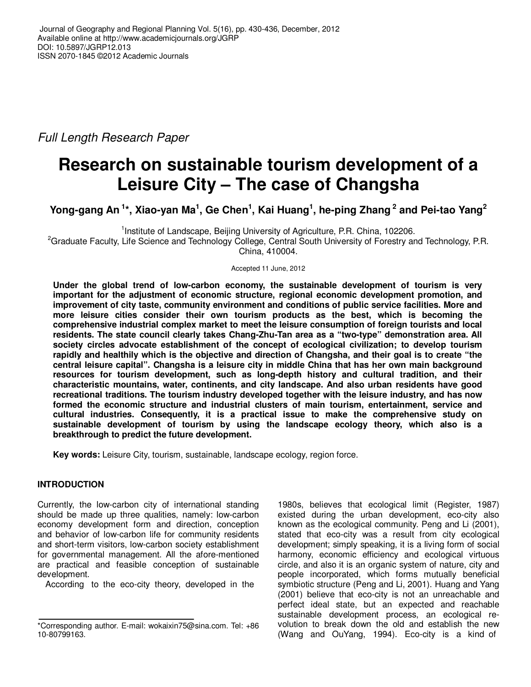Full Length Research Paper

# **Research on sustainable tourism development of a Leisure City – The case of Changsha**

**Yong-gang An<sup>1</sup>\*, Xiao-yan Ma<sup>1</sup> , Ge Chen<sup>1</sup> , Kai Huang<sup>1</sup> , he-ping Zhang<sup>2</sup> and Pei-tao Yang<sup>2</sup>**

<sup>1</sup>Institute of Landscape, Beijing University of Agriculture, P.R. China, 102206.

<sup>2</sup>Graduate Faculty, Life Science and Technology College, Central South University of Forestry and Technology, P.R. China, 410004.

Accepted 11 June, 2012

**Under the global trend of low-carbon economy, the sustainable development of tourism is very important for the adjustment of economic structure, regional economic development promotion, and improvement of city taste, community environment and conditions of public service facilities. More and more leisure cities consider their own tourism products as the best, which is becoming the comprehensive industrial complex market to meet the leisure consumption of foreign tourists and local residents. The state council clearly takes Chang-Zhu-Tan area as a "two-type" demonstration area. All society circles advocate establishment of the concept of ecological civilization; to develop tourism rapidly and healthily which is the objective and direction of Changsha, and their goal is to create "the central leisure capital". Changsha is a leisure city in middle China that has her own main background resources for tourism development, such as long-depth history and cultural tradition, and their characteristic mountains, water, continents, and city landscape. And also urban residents have good recreational traditions. The tourism industry developed together with the leisure industry, and has now formed the economic structure and industrial clusters of main tourism, entertainment, service and cultural industries. Consequently, it is a practical issue to make the comprehensive study on sustainable development of tourism by using the landscape ecology theory, which also is a breakthrough to predict the future development.** 

**Key words:** Leisure City, tourism, sustainable, landscape ecology, region force.

# **INTRODUCTION**

Currently, the low-carbon city of international standing should be made up three qualities, namely: low-carbon economy development form and direction, conception and behavior of low-carbon life for community residents and short-term visitors, low-carbon society establishment for governmental management. All the afore-mentioned are practical and feasible conception of sustainable development.

According to the eco-city theory, developed in the

1980s, believes that ecological limit (Register, 1987) existed during the urban development, eco-city also known as the ecological community. Peng and Li (2001), stated that eco-city was a result from city ecological development; simply speaking, it is a living form of social harmony, economic efficiency and ecological virtuous circle, and also it is an organic system of nature, city and people incorporated, which forms mutually beneficial symbiotic structure (Peng and Li, 2001). Huang and Yang (2001) believe that eco-city is not an unreachable and perfect ideal state, but an expected and reachable sustainable development process, an ecological revolution to break down the old and establish the new (Wang and OuYang, 1994). Eco-city is a kind of

<sup>\*</sup>Corresponding author. E-mail: wokaixin75@sina.com. Tel: +86 10-80799163.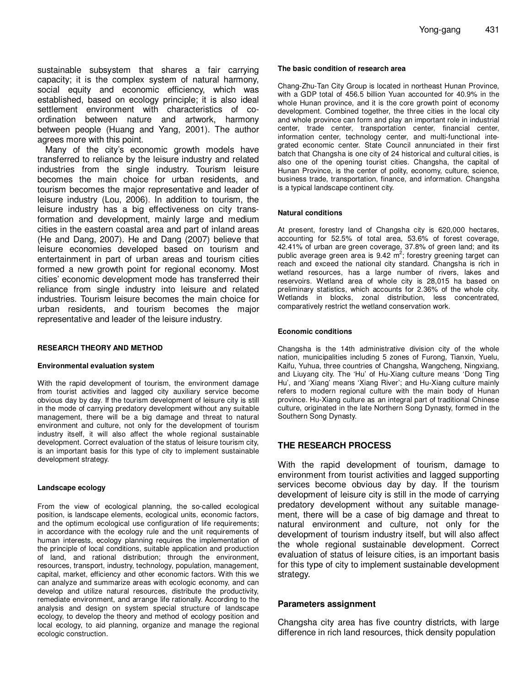sustainable subsystem that shares a fair carrying capacity; it is the complex system of natural harmony, social equity and economic efficiency, which was established, based on ecology principle; it is also ideal settlement environment with characteristics of coordination between nature and artwork, harmony between people (Huang and Yang, 2001). The author agrees more with this point.

Many of the city's economic growth models have transferred to reliance by the leisure industry and related industries from the single industry. Tourism leisure becomes the main choice for urban residents, and tourism becomes the major representative and leader of leisure industry (Lou, 2006). In addition to tourism, the leisure industry has a big effectiveness on city transformation and development, mainly large and medium cities in the eastern coastal area and part of inland areas (He and Dang, 2007). He and Dang (2007) believe that leisure economies developed based on tourism and entertainment in part of urban areas and tourism cities formed a new growth point for regional economy. Most cities' economic development mode has transferred their reliance from single industry into leisure and related industries. Tourism leisure becomes the main choice for urban residents, and tourism becomes the major representative and leader of the leisure industry.

## **RESEARCH THEORY AND METHOD**

#### **Environmental evaluation system**

With the rapid development of tourism, the environment damage from tourist activities and lagged city auxiliary service become obvious day by day. If the tourism development of leisure city is still in the mode of carrying predatory development without any suitable management, there will be a big damage and threat to natural environment and culture, not only for the development of tourism industry itself, it will also affect the whole regional sustainable development. Correct evaluation of the status of leisure tourism city, is an important basis for this type of city to implement sustainable development strategy.

## **Landscape ecology**

From the view of ecological planning, the so-called ecological position, is landscape elements, ecological units, economic factors, and the optimum ecological use configuration of life requirements; in accordance with the ecology rule and the unit requirements of human interests, ecology planning requires the implementation of the principle of local conditions, suitable application and production of land, and rational distribution; through the environment, resources, transport, industry, technology, population, management, capital, market, efficiency and other economic factors. With this we can analyze and summarize areas with ecologic economy, and can develop and utilize natural resources, distribute the productivity, remediate environment, and arrange life rationally. According to the analysis and design on system special structure of landscape ecology, to develop the theory and method of ecology position and local ecology, to aid planning, organize and manage the regional ecologic construction.

#### **The basic condition of research area**

Chang-Zhu-Tan City Group is located in northeast Hunan Province, with a GDP total of 456.5 billion Yuan accounted for 40.9% in the whole Hunan province, and it is the core growth point of economy development. Combined together, the three cities in the local city and whole province can form and play an important role in industrial center, trade center, transportation center, financial center, information center, technology center, and multi-functional integrated economic center. State Council annunciated in their first batch that Changsha is one city of 24 historical and cultural cities, is also one of the opening tourist cities. Changsha, the capital of Hunan Province, is the center of polity, economy, culture, science, business trade, transportation, finance, and information. Changsha is a typical landscape continent city.

## **Natural conditions**

At present, forestry land of Changsha city is 620,000 hectares, accounting for 52.5% of total area, 53.6% of forest coverage, 42.41% of urban are green coverage, 37.8% of green land; and its<br>public average green area is 9.42 m<sup>2</sup>; forestry greening target can reach and exceed the national city standard. Changsha is rich in wetland resources, has a large number of rivers, lakes and reservoirs. Wetland area of whole city is 28,015 ha based on preliminary statistics, which accounts for 2.36% of the whole city. Wetlands in blocks, zonal distribution, less concentrated, comparatively restrict the wetland conservation work.

## **Economic conditions**

Changsha is the 14th administrative division city of the whole nation, municipalities including 5 zones of Furong, Tianxin, Yuelu, Kaifu, Yuhua, three countries of Changsha, Wangcheng, Ningxiang, and Liuyang city. The 'Hu' of Hu-Xiang culture means 'Dong Ting Hu', and 'Xiang' means 'Xiang River'; and Hu-Xiang culture mainly refers to modern regional culture with the main body of Hunan province. Hu-Xiang culture as an integral part of traditional Chinese culture, originated in the late Northern Song Dynasty, formed in the Southern Song Dynasty.

## **THE RESEARCH PROCESS**

With the rapid development of tourism, damage to environment from tourist activities and lagged supporting services become obvious day by day. If the tourism development of leisure city is still in the mode of carrying predatory development without any suitable management, there will be a case of big damage and threat to natural environment and culture, not only for the development of tourism industry itself, but will also affect the whole regional sustainable development. Correct evaluation of status of leisure cities, is an important basis for this type of city to implement sustainable development strategy.

## **Parameters assignment**

Changsha city area has five country districts, with large difference in rich land resources, thick density population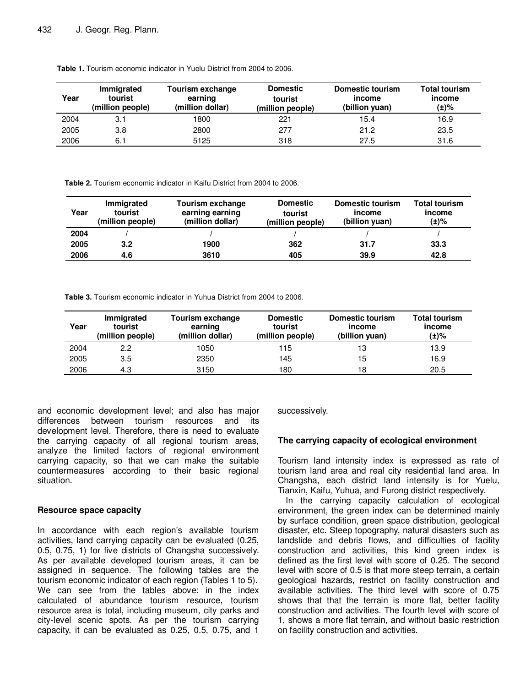| Year | Immigrated<br>tourist<br>(million people) | Tourism exchange<br>earning<br>(million dollar) | <b>Domestic</b><br>tourist<br>(million people) | <b>Domestic tourism</b><br>income<br>(billion yuan) | <b>Total tourism</b><br>income<br>(±)% |
|------|-------------------------------------------|-------------------------------------------------|------------------------------------------------|-----------------------------------------------------|----------------------------------------|
| 2004 | 3.1                                       | 1800                                            | 221                                            | 15.4                                                | 16.9                                   |
| 2005 | 3.8                                       | 2800                                            | 277                                            | 21.2                                                | 23.5                                   |
| 2006 | 6.1                                       | 5125                                            | 318                                            | 27.5                                                | 31.6                                   |

**Table 1.** Tourism economic indicator in Yuelu District from 2004 to 2006.

**Table 2.** Tourism economic indicator in Kaifu District from 2004 to 2006.

| Year | Immigrated<br>tourist<br>(million people) | Tourism exchange<br>earning earning<br>(million dollar) | <b>Domestic</b><br>tourist<br>(million people) | Domestic tourism<br>income<br>(billion yuan) | <b>Total tourism</b><br>income<br>(±)% |
|------|-------------------------------------------|---------------------------------------------------------|------------------------------------------------|----------------------------------------------|----------------------------------------|
| 2004 |                                           |                                                         |                                                |                                              |                                        |
| 2005 | 3.2                                       | 1900                                                    | 362                                            | 31.7                                         | 33.3                                   |
| 2006 | 4.6                                       | 3610                                                    | 405                                            | 39.9                                         | 42.8                                   |

**Table 3.** Tourism economic indicator in Yuhua District from 2004 to 2006.

| Year | Immigrated<br>tourist<br>(million people) | Tourism exchange<br>earning<br>(million dollar) | <b>Domestic</b><br>tourist<br>(million people) | <b>Domestic tourism</b><br>income<br>(billion yuan) | <b>Total tourism</b><br>income<br>(±)% |
|------|-------------------------------------------|-------------------------------------------------|------------------------------------------------|-----------------------------------------------------|----------------------------------------|
| 2004 | 2.2                                       | 1050                                            | 115                                            | 13                                                  | 13.9                                   |
| 2005 | 3.5                                       | 2350                                            | 145                                            | 15                                                  | 16.9                                   |
| 2006 | 4.3                                       | 3150                                            | 180                                            | 18                                                  | 20.5                                   |

and economic development level; and also has major differences between tourism resources and its development level. Therefore, there is need to evaluate the carrying capacity of all regional tourism areas, analyze the limited factors of regional environment carrying capacity, so that we can make the suitable countermeasures according to their basic regional situation.

## **Resource space capacity**

In accordance with each region's available tourism activities, land carrying capacity can be evaluated (0.25, 0.5, 0.75, 1) for five districts of Changsha successively. As per available developed tourism areas, it can be assigned in sequence. The following tables are the tourism economic indicator of each region (Tables 1 to 5). We can see from the tables above: in the index calculated of abundance tourism resource, tourism resource area is total, including museum, city parks and city-level scenic spots. As per the tourism carrying capacity, it can be evaluated as 0.25, 0.5, 0.75, and 1 successively.

## **The carrying capacity of ecological environment**

Tourism land intensity index is expressed as rate of tourism land area and real city residential land area. In Changsha, each district land intensity is for Yuelu, Tianxin, Kaifu, Yuhua, and Furong district respectively.

In the carrying capacity calculation of ecological environment, the green index can be determined mainly by surface condition, green space distribution, geological disaster, etc. Steep topography, natural disasters such as landslide and debris flows, and difficulties of facility construction and activities, this kind green index is defined as the first level with score of 0.25. The second level with score of 0.5 is that more steep terrain, a certain geological hazards, restrict on facility construction and available activities. The third level with score of 0.75 shows that that the terrain is more flat, better facility construction and activities. The fourth level with score of 1, shows a more flat terrain, and without basic restriction on facility construction and activities.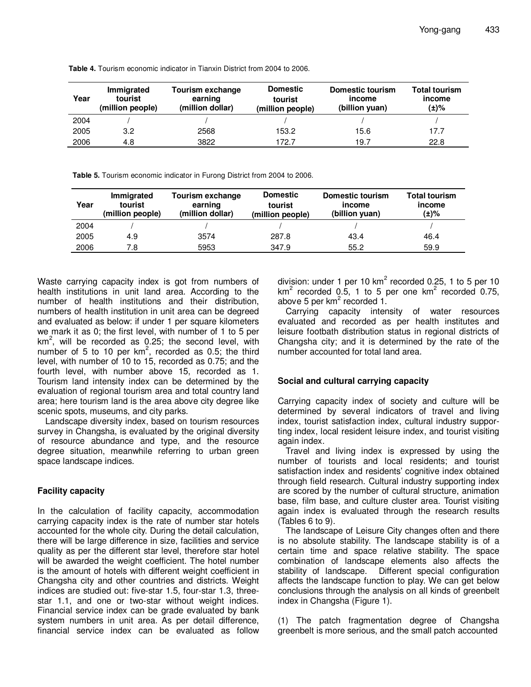| Year | Immigrated<br>tourist<br>(million people) | Tourism exchange<br>earning<br>(million dollar) | <b>Domestic</b><br>tourist | Domestic tourism<br>income<br>(billion yuan) | Total tourism<br>income<br>(±)% |
|------|-------------------------------------------|-------------------------------------------------|----------------------------|----------------------------------------------|---------------------------------|
|      |                                           |                                                 | (million people)           |                                              |                                 |
| 2004 |                                           |                                                 |                            |                                              |                                 |
| 2005 | 3.2                                       | 2568                                            | 153.2                      | 15.6                                         | 17.7                            |
| 2006 | 4.8                                       | 3822                                            | 172.7                      | 19.7                                         | 22.8                            |

**Table 4.** Tourism economic indicator in Tianxin District from 2004 to 2006.

**Table 5.** Tourism economic indicator in Furong District from 2004 to 2006.

| Year | Immigrated<br>tourist<br>(million people) | Tourism exchange<br>earning<br>(million dollar) | <b>Domestic</b><br>tourist<br>(million people) | Domestic tourism<br>income<br>(billion yuan) | <b>Total tourism</b><br><i>income</i><br>(±)% |
|------|-------------------------------------------|-------------------------------------------------|------------------------------------------------|----------------------------------------------|-----------------------------------------------|
| 2004 |                                           |                                                 |                                                |                                              |                                               |
| 2005 | 4.9                                       | 3574                                            | 287.8                                          | 43.4                                         | 46.4                                          |
| 2006 | 7.8                                       | 5953                                            | 347.9                                          | 55.2                                         | 59.9                                          |

Waste carrying capacity index is got from numbers of health institutions in unit land area. According to the number of health institutions and their distribution, numbers of health institution in unit area can be degreed and evaluated as below: if under 1 per square kilometers we mark it as 0; the first level, with number of 1 to 5 per km<sup>2</sup>, will be recorded as 0.25; the second level, with number of 5 to 10 per  $km^2$ , recorded as 0.5; the third level, with number of 10 to 15, recorded as 0.75; and the fourth level, with number above 15, recorded as 1. Tourism land intensity index can be determined by the evaluation of regional tourism area and total country land area; here tourism land is the area above city degree like scenic spots, museums, and city parks.

Landscape diversity index, based on tourism resources survey in Changsha, is evaluated by the original diversity of resource abundance and type, and the resource degree situation, meanwhile referring to urban green space landscape indices.

# **Facility capacity**

In the calculation of facility capacity, accommodation carrying capacity index is the rate of number star hotels accounted for the whole city. During the detail calculation, there will be large difference in size, facilities and service quality as per the different star level, therefore star hotel will be awarded the weight coefficient. The hotel number is the amount of hotels with different weight coefficient in Changsha city and other countries and districts. Weight indices are studied out: five-star 1.5, four-star 1.3, threestar 1.1, and one or two-star without weight indices. Financial service index can be grade evaluated by bank system numbers in unit area. As per detail difference, financial service index can be evaluated as follow division: under 1 per 10 km<sup>2</sup> recorded 0.25, 1 to 5 per 10 km<sup>2</sup> recorded 0.5, 1 to 5 per one km<sup>2</sup> recorded 0.75, above 5 per km<sup>2</sup> recorded 1.

Carrying capacity intensity of water resources evaluated and recorded as per health institutes and leisure footbath distribution status in regional districts of Changsha city; and it is determined by the rate of the number accounted for total land area.

# **Social and cultural carrying capacity**

Carrying capacity index of society and culture will be determined by several indicators of travel and living index, tourist satisfaction index, cultural industry supporting index, local resident leisure index, and tourist visiting again index.

Travel and living index is expressed by using the number of tourists and local residents; and tourist satisfaction index and residents' cognitive index obtained through field research. Cultural industry supporting index are scored by the number of cultural structure, animation base, film base, and culture cluster area. Tourist visiting again index is evaluated through the research results (Tables 6 to 9).

The landscape of Leisure City changes often and there is no absolute stability. The landscape stability is of a certain time and space relative stability. The space combination of landscape elements also affects the stability of landscape. Different special configuration affects the landscape function to play. We can get below conclusions through the analysis on all kinds of greenbelt index in Changsha (Figure 1).

(1) The patch fragmentation degree of Changsha greenbelt is more serious, and the small patch accounted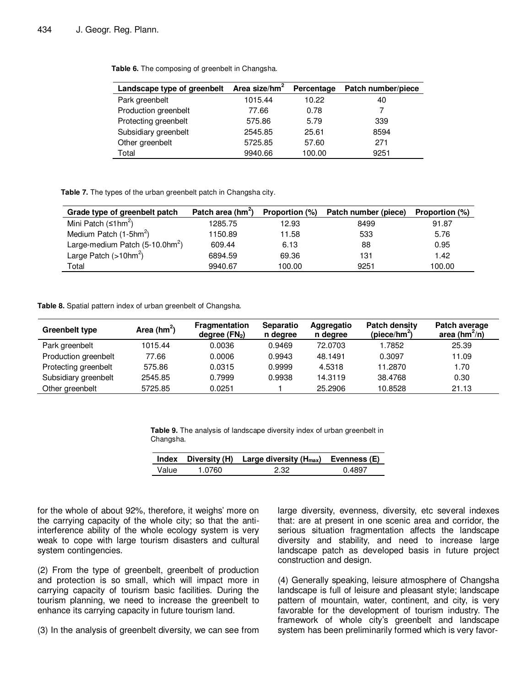| Landscape type of greenbelt | Area size/hm <sup>2</sup> | Percentage | Patch number/piece |
|-----------------------------|---------------------------|------------|--------------------|
| Park greenbelt              | 1015.44                   | 10.22      | 40                 |
| Production greenbelt        | 77.66                     | 0.78       |                    |
| Protecting greenbelt        | 575.86                    | 5.79       | 339                |
| Subsidiary greenbelt        | 2545.85                   | 25.61      | 8594               |
| Other greenbelt             | 5725.85                   | 57.60      | 271                |
| Total                       | 9940.66                   | 100.00     | 9251               |

**Table 6.** The composing of greenbelt in Changsha.

**Table 7.** The types of the urban greenbelt patch in Changsha city.

| Grade type of greenbelt patch                  | Patch area (hm <sup>2</sup> ) |        | Proportion (%) Patch number (piece) | <b>Proportion</b> (%) |
|------------------------------------------------|-------------------------------|--------|-------------------------------------|-----------------------|
| Mini Patch $(\leq 1$ hm <sup>2</sup> )         | 1285.75                       | 12.93  | 8499                                | 91.87                 |
| Medium Patch $(1-5hm^2)$                       | 1150.89                       | 11.58  | 533                                 | 5.76                  |
| Large-medium Patch $(5-10.0$ hm <sup>2</sup> ) | 609.44                        | 6.13   | 88                                  | 0.95                  |
| Large Patch $($ >10hm <sup>2</sup> )           | 6894.59                       | 69.36  | 131                                 | 1.42                  |
| Total                                          | 9940.67                       | 100.00 | 9251                                | 100.00                |

**Table 8.** Spatial pattern index of urban greenbelt of Changsha.

| Greenbelt type       | Area ( $hm^2$ ) | <b>Fragmentation</b><br>degree $(FN2)$ | <b>Separatio</b><br>n degree | Aggregatio<br>n degree | <b>Patch density</b><br>(piece/hm <sup>2</sup> ) | Patch average<br>area ( $hm^2/n$ ) |
|----------------------|-----------------|----------------------------------------|------------------------------|------------------------|--------------------------------------------------|------------------------------------|
| Park greenbelt       | 1015.44         | 0.0036                                 | 0.9469                       | 72.0703                | 1.7852                                           | 25.39                              |
| Production greenbelt | 77.66           | 0.0006                                 | 0.9943                       | 48.1491                | 0.3097                                           | 11.09                              |
| Protecting greenbelt | 575.86          | 0.0315                                 | 0.9999                       | 4.5318                 | 11.2870                                          | 1.70                               |
| Subsidiary greenbelt | 2545.85         | 0.7999                                 | 0.9938                       | 14.3119                | 38.4768                                          | 0.30                               |
| Other greenbelt      | 5725.85         | 0.0251                                 |                              | 25.2906                | 10.8528                                          | 21.13                              |

Table 9. The analysis of landscape diversity index of urban greenbelt in Changsha.

|       |        | Index Diversity (H) Large diversity $(H_{max})$ Evenness (E) |        |
|-------|--------|--------------------------------------------------------------|--------|
| Value | 1.0760 | 2.32                                                         | 0.4897 |

for the whole of about 92%, therefore, it weighs' more on the carrying capacity of the whole city; so that the antiinterference ability of the whole ecology system is very weak to cope with large tourism disasters and cultural system contingencies.

(2) From the type of greenbelt, greenbelt of production and protection is so small, which will impact more in carrying capacity of tourism basic facilities. During the tourism planning, we need to increase the greenbelt to enhance its carrying capacity in future tourism land.

(3) In the analysis of greenbelt diversity, we can see from

large diversity, evenness, diversity, etc several indexes that: are at present in one scenic area and corridor, the serious situation fragmentation affects the landscape diversity and stability, and need to increase large landscape patch as developed basis in future project construction and design.

(4) Generally speaking, leisure atmosphere of Changsha landscape is full of leisure and pleasant style; landscape pattern of mountain, water, continent, and city, is very favorable for the development of tourism industry. The framework of whole city's greenbelt and landscape system has been preliminarily formed which is very favor-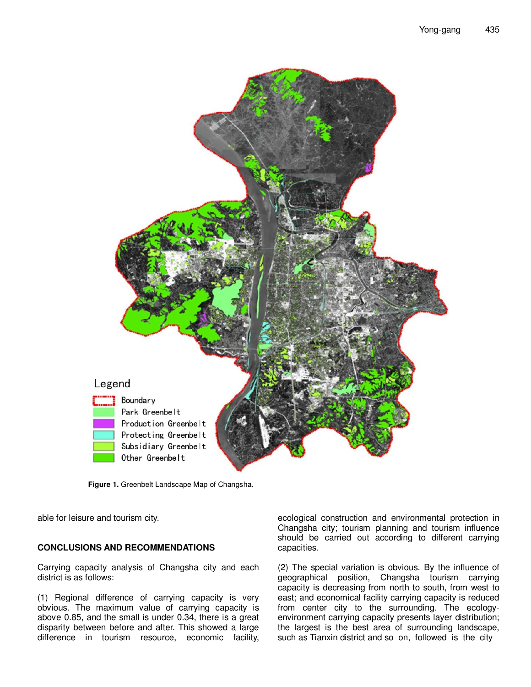

**Figure 1.** Greenbelt Landscape Map of Changsha.

able for leisure and tourism city.

## **CONCLUSIONS AND RECOMMENDATIONS**

Carrying capacity analysis of Changsha city and each district is as follows:

(1) Regional difference of carrying capacity is very obvious. The maximum value of carrying capacity is above 0.85, and the small is under 0.34, there is a great disparity between before and after. This showed a large difference in tourism resource, economic facility,

ecological construction and environmental protection in Changsha city; tourism planning and tourism influence should be carried out according to different carrying capacities.

(2) The special variation is obvious. By the influence of geographical position, Changsha tourism carrying capacity is decreasing from north to south, from west to east; and economical facility carrying capacity is reduced from center city to the surrounding. The ecologyenvironment carrying capacity presents layer distribution; the largest is the best area of surrounding landscape, such as Tianxin district and so on, followed is the city